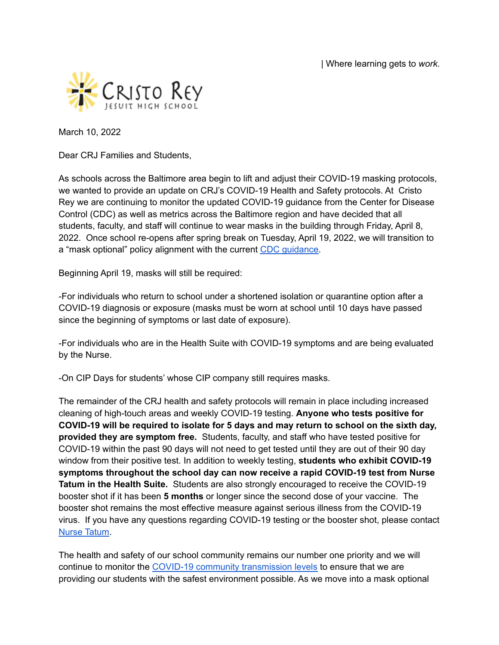| Where learning gets to *work*.



March 10, 2022

Dear CRJ Families and Students,

As schools across the Baltimore area begin to lift and adjust their COVID-19 masking protocols, we wanted to provide an update on CRJ's COVID-19 Health and Safety protocols. At Cristo Rey we are continuing to monitor the updated COVID-19 guidance from the Center for Disease Control (CDC) as well as metrics across the Baltimore region and have decided that all students, faculty, and staff will continue to wear masks in the building through Friday, April 8, 2022. Once school re-opens after spring break on Tuesday, April 19, 2022, we will transition to a "mask optional" policy alignment with the current CDC quidance.

Beginning April 19, masks will still be required:

-For individuals who return to school under a shortened isolation or quarantine option after a COVID-19 diagnosis or exposure (masks must be worn at school until 10 days have passed since the beginning of symptoms or last date of exposure).

-For individuals who are in the Health Suite with COVID-19 symptoms and are being evaluated by the Nurse.

-On CIP Days for students' whose CIP company still requires masks.

The remainder of the CRJ health and safety protocols will remain in place including increased cleaning of high-touch areas and weekly COVID-19 testing. **Anyone who tests positive for COVID-19 will be required to isolate for 5 days and may return to school on the sixth day, provided they are symptom free.** Students, faculty, and staff who have tested positive for COVID-19 within the past 90 days will not need to get tested until they are out of their 90 day window from their positive test. In addition to weekly testing, **students who exhibit COVID-19 symptoms throughout the school day can now receive a rapid COVID-19 test from Nurse Tatum in the Health Suite.** Students are also strongly encouraged to receive the COVID-19 booster shot if it has been **5 months** or longer since the second dose of your vaccine. The booster shot remains the most effective measure against serious illness from the COVID-19 virus. If you have any questions regarding COVID-19 testing or the booster shot, please contact Nurse [Tatum](mailto:jtatum@cristoreybalt.org).

The health and safety of our school community remains our number one priority and we will continue to monitor the COVID-19 community [transmission](https://www.cdc.gov/coronavirus/2019-ncov/your-health/covid-by-county.html) levels to ensure that we are providing our students with the safest environment possible. As we move into a mask optional